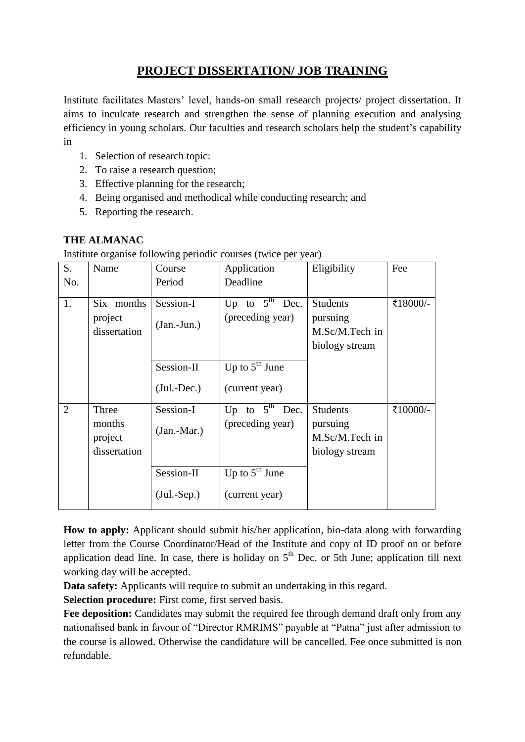## **PROJECT DISSERTATION/ JOB TRAINING**

Institute facilitates Masters' level, hands-on small research projects/ project dissertation. It aims to inculcate research and strengthen the sense of planning execution and analysing efficiency in young scholars. Our faculties and research scholars help the student's capability in

- 1. Selection of research topic:
- 2. To raise a research question;
- 3. Effective planning for the research;
- 4. Being organised and methodical while conducting research; and
- 5. Reporting the research.

## **THE ALMANAC**

Institute organise following periodic courses (twice per year)

| S.             | Name                                       | Course                      | Application                                    | Eligibility                                                     | Fee      |
|----------------|--------------------------------------------|-----------------------------|------------------------------------------------|-----------------------------------------------------------------|----------|
| No.            |                                            | Period                      | Deadline                                       |                                                                 |          |
| 1.             | Six months<br>project<br>dissertation      | Session-I<br>$(Jan.-Jun.)$  | Up to $5^{\text{th}}$ Dec.<br>(preceding year) | <b>Students</b><br>pursuing<br>M.Sc/M.Tech in<br>biology stream | ₹18000/- |
|                |                                            | Session-II<br>$(Jul.-Dec.)$ | Up to $5^{\text{th}}$ June<br>(current year)   |                                                                 |          |
| $\overline{2}$ | Three<br>months<br>project<br>dissertation | Session-I<br>$(Jan.-Mar.)$  | Up to $5^{\text{th}}$ Dec.<br>(preceding year) | <b>Students</b><br>pursuing<br>M.Sc/M.Tech in<br>biology stream | ₹10000/- |
|                |                                            | Session-II<br>$(Jul.-Sep.)$ | Up to $5^{\text{th}}$ June<br>(current year)   |                                                                 |          |

**How to apply:** Applicant should submit his/her application, bio-data along with forwarding letter from the Course Coordinator/Head of the Institute and copy of ID proof on or before application dead line. In case, there is holiday on  $5<sup>th</sup>$  Dec. or 5th June; application till next working day will be accepted.

**Data safety:** Applicants will require to submit an undertaking in this regard.

**Selection procedure:** First come, first served basis.

**Fee deposition:** Candidates may submit the required fee through demand draft only from any nationalised bank in favour of "Director RMRIMS" payable at "Patna" just after admission to the course is allowed. Otherwise the candidature will be cancelled. Fee once submitted is non refundable.